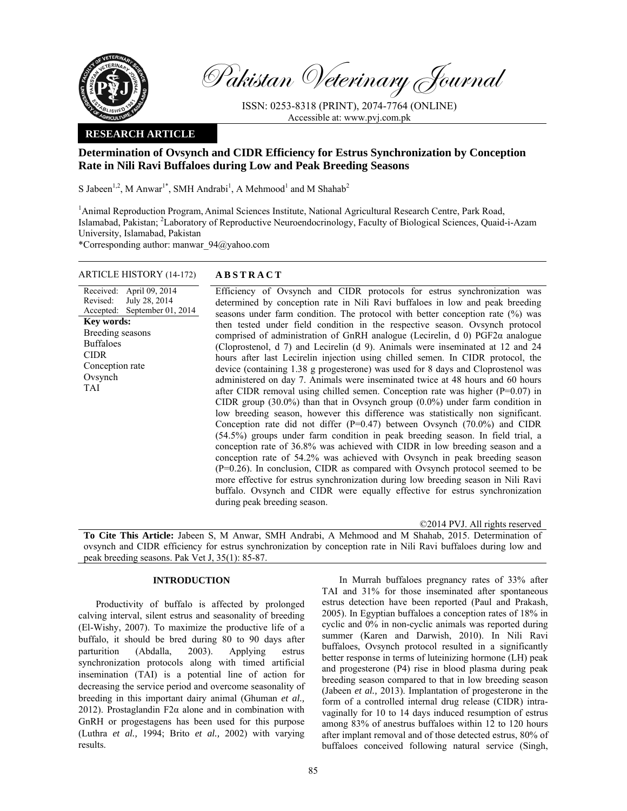

Pakistan Veterinary Journal

ISSN: 0253-8318 (PRINT), 2074-7764 (ONLINE) Accessible at: www.pvj.com.pk

## **RESEARCH ARTICLE**

# **Determination of Ovsynch and CIDR Efficiency for Estrus Synchronization by Conception Rate in Nili Ravi Buffaloes during Low and Peak Breeding Seasons**

S Jabeen<sup>1,2</sup>, M Anwar<sup>1\*</sup>, SMH Andrabi<sup>1</sup>, A Mehmood<sup>1</sup> and M Shahab<sup>2</sup>

<sup>1</sup> Animal Reproduction Program, Animal Sciences Institute, National Agricultural Research Centre, Park Road, Islamabad, Pakistan; <sup>2</sup>Laboratory of Reproductive Neuroendocrinology, Faculty of Biological Sciences, Quaid-i-Azam University, Islamabad, Pakistan

\*Corresponding author: manwar\_94@yahoo.com

## ARTICLE HISTORY (14-172) **ABSTRACT**

Received: April 09, 2014 Revised: Accepted: July 28, 2014 September 01, 2014 **Key words:**  Breeding seasons Buffaloes CIDR Conception rate Ovsynch TAI

 Efficiency of Ovsynch and CIDR protocols for estrus synchronization was determined by conception rate in Nili Ravi buffaloes in low and peak breeding seasons under farm condition. The protocol with better conception rate (%) was then tested under field condition in the respective season. Ovsynch protocol comprised of administration of GnRH analogue (Lecirelin, d 0) PGF2α analogue (Cloprostenol, d 7) and Lecirelin (d 9). Animals were inseminated at 12 and 24 hours after last Lecirelin injection using chilled semen. In CIDR protocol, the device (containing 1.38 g progesterone) was used for 8 days and Cloprostenol was administered on day 7. Animals were inseminated twice at 48 hours and 60 hours after CIDR removal using chilled semen. Conception rate was higher (P=0.07) in CIDR group (30.0%) than that in Ovsynch group (0.0%) under farm condition in low breeding season, however this difference was statistically non significant. Conception rate did not differ (P=0.47) between Ovsynch (70.0%) and CIDR (54.5%) groups under farm condition in peak breeding season. In field trial, a conception rate of 36.8% was achieved with CIDR in low breeding season and a conception rate of 54.2% was achieved with Ovsynch in peak breeding season (P=0.26). In conclusion, CIDR as compared with Ovsynch protocol seemed to be more effective for estrus synchronization during low breeding season in Nili Ravi buffalo. Ovsynch and CIDR were equally effective for estrus synchronization during peak breeding season.

©2014 PVJ. All rights reserved **To Cite This Article:** Jabeen S, M Anwar, SMH Andrabi, A Mehmood and M Shahab, 2015. Determination of ovsynch and CIDR efficiency for estrus synchronization by conception rate in Nili Ravi buffaloes during low and peak breeding seasons. Pak Vet J, 35(1): 85-87.

# **INTRODUCTION**

Productivity of buffalo is affected by prolonged calving interval, silent estrus and seasonality of breeding (El-Wishy, 2007). To maximize the productive life of a buffalo, it should be bred during 80 to 90 days after parturition (Abdalla, 2003). Applying estrus synchronization protocols along with timed artificial insemination (TAI) is a potential line of action for decreasing the service period and overcome seasonality of breeding in this important dairy animal (Ghuman *et al.,* 2012). Prostaglandin F2 $\alpha$  alone and in combination with GnRH or progestagens has been used for this purpose (Luthra *et al.,* 1994; Brito *et al.,* 2002) with varying results.

In Murrah buffaloes pregnancy rates of 33% after TAI and 31% for those inseminated after spontaneous estrus detection have been reported (Paul and Prakash, 2005). In Egyptian buffaloes a conception rates of 18% in cyclic and 0% in non-cyclic animals was reported during summer (Karen and Darwish, 2010). In Nili Ravi buffaloes, Ovsynch protocol resulted in a significantly better response in terms of luteinizing hormone (LH) peak and progesterone (P4) rise in blood plasma during peak breeding season compared to that in low breeding season (Jabeen *et al.,* 2013). Implantation of progesterone in the form of a controlled internal drug release (CIDR) intravaginally for 10 to 14 days induced resumption of estrus among 83% of anestrus buffaloes within 12 to 120 hours after implant removal and of those detected estrus, 80% of buffaloes conceived following natural service (Singh,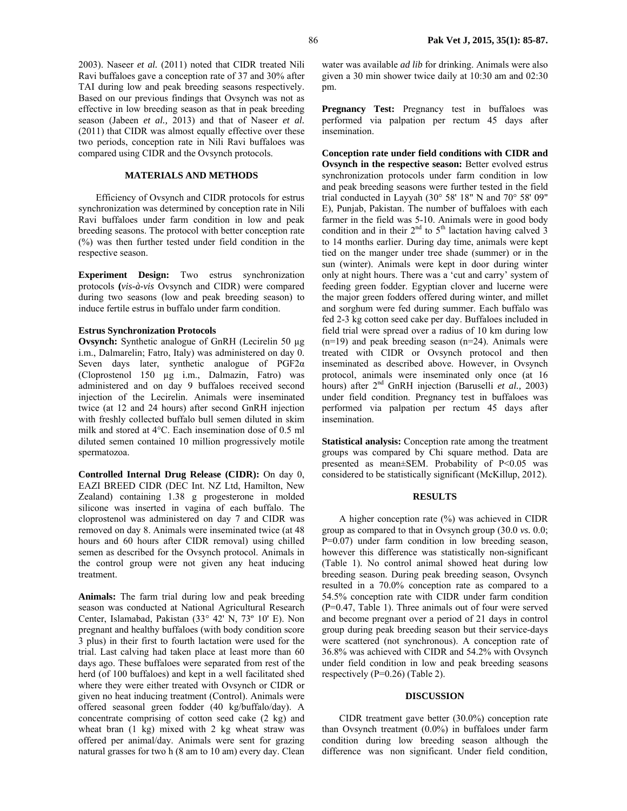2003). Naseer *et al.* (2011) noted that CIDR treated Nili Ravi buffaloes gave a conception rate of 37 and 30% after TAI during low and peak breeding seasons respectively. Based on our previous findings that Ovsynch was not as effective in low breeding season as that in peak breeding season (Jabeen *et al.,* 2013) and that of Naseer *et al.* (2011) that CIDR was almost equally effective over these two periods, conception rate in Nili Ravi buffaloes was compared using CIDR and the Ovsynch protocols.

#### **MATERIALS AND METHODS**

Efficiency of Ovsynch and CIDR protocols for estrus synchronization was determined by conception rate in Nili Ravi buffaloes under farm condition in low and peak breeding seasons. The protocol with better conception rate (%) was then further tested under field condition in the respective season.

**Experiment Design:** Two estrus synchronization protocols **(***vis-à-vis* Ovsynch and CIDR) were compared during two seasons (low and peak breeding season) to induce fertile estrus in buffalo under farm condition.

#### **Estrus Synchronization Protocols**

**Ovsynch:** Synthetic analogue of GnRH (Lecirelin 50 µg i.m., Dalmarelin; Fatro, Italy) was administered on day 0. Seven days later, synthetic analogue of PGF2α (Cloprostenol 150 µg i.m., Dalmazin, Fatro) was administered and on day 9 buffaloes received second injection of the Lecirelin. Animals were inseminated twice (at 12 and 24 hours) after second GnRH injection with freshly collected buffalo bull semen diluted in skim milk and stored at 4°C. Each insemination dose of 0.5 ml diluted semen contained 10 million progressively motile spermatozoa.

**Controlled Internal Drug Release (CIDR):** On day 0, EAZI BREED CIDR (DEC Int. NZ Ltd, Hamilton, New Zealand) containing 1.38 g progesterone in molded silicone was inserted in vagina of each buffalo. The cloprostenol was administered on day 7 and CIDR was removed on day 8. Animals were inseminated twice (at 48 hours and 60 hours after CIDR removal) using chilled semen as described for the Ovsynch protocol. Animals in the control group were not given any heat inducing treatment.

**Animals:** The farm trial during low and peak breeding season was conducted at National Agricultural Research Center, Islamabad, Pakistan (33° 42' N, 73º 10' E). Non pregnant and healthy buffaloes (with body condition score 3 plus) in their first to fourth lactation were used for the trial. Last calving had taken place at least more than 60 days ago. These buffaloes were separated from rest of the herd (of 100 buffaloes) and kept in a well facilitated shed where they were either treated with Ovsynch or CIDR or given no heat inducing treatment (Control). Animals were offered seasonal green fodder (40 kg/buffalo/day). A concentrate comprising of cotton seed cake (2 kg) and wheat bran (1 kg) mixed with 2 kg wheat straw was offered per animal/day. Animals were sent for grazing natural grasses for two h (8 am to 10 am) every day. Clean

water was available *ad lib* for drinking. Animals were also given a 30 min shower twice daily at 10:30 am and 02:30 pm.

Pregnancy Test: Pregnancy test in buffaloes was performed via palpation per rectum 45 days after insemination.

**Conception rate under field conditions with CIDR and Ovsynch in the respective season:** Better evolved estrus synchronization protocols under farm condition in low and peak breeding seasons were further tested in the field trial conducted in Layyah (30° 58' 18" N and 70° 58' 09" E), Punjab, Pakistan. The number of buffaloes with each farmer in the field was 5-10. Animals were in good body condition and in their  $2<sup>nd</sup>$  to  $5<sup>th</sup>$  lactation having calved 3 to 14 months earlier. During day time, animals were kept tied on the manger under tree shade (summer) or in the sun (winter). Animals were kept in door during winter only at night hours. There was a 'cut and carry' system of feeding green fodder. Egyptian clover and lucerne were the major green fodders offered during winter, and millet and sorghum were fed during summer. Each buffalo was fed 2-3 kg cotton seed cake per day. Buffaloes included in field trial were spread over a radius of 10 km during low (n=19) and peak breeding season (n=24). Animals were treated with CIDR or Ovsynch protocol and then inseminated as described above. However, in Ovsynch protocol, animals were inseminated only once (at 16 hours) after 2nd GnRH injection (Baruselli *et al.,* 2003) under field condition. Pregnancy test in buffaloes was performed via palpation per rectum 45 days after insemination.

**Statistical analysis:** Conception rate among the treatment groups was compared by Chi square method. Data are presented as mean±SEM. Probability of P<0.05 was considered to be statistically significant (McKillup, 2012).

#### **RESULTS**

A higher conception rate (%) was achieved in CIDR group as compared to that in Ovsynch group (30.0 *vs.* 0.0; P=0.07) under farm condition in low breeding season, however this difference was statistically non-significant (Table 1). No control animal showed heat during low breeding season. During peak breeding season, Ovsynch resulted in a 70.0% conception rate as compared to a 54.5% conception rate with CIDR under farm condition (P=0.47, Table 1). Three animals out of four were served and become pregnant over a period of 21 days in control group during peak breeding season but their service-days were scattered (not synchronous). A conception rate of 36.8% was achieved with CIDR and 54.2% with Ovsynch under field condition in low and peak breeding seasons respectively (P=0.26) (Table 2).

#### **DISCUSSION**

CIDR treatment gave better (30.0%) conception rate than Ovsynch treatment (0.0%) in buffaloes under farm condition during low breeding season although the difference was non significant. Under field condition,